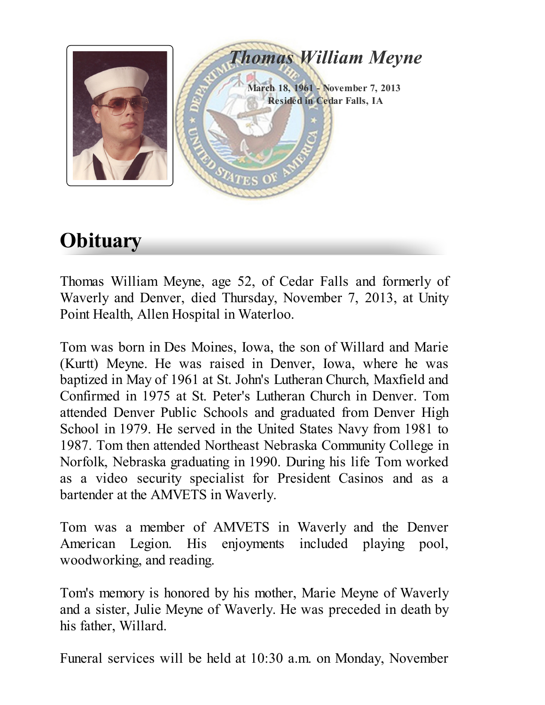

# **Obituary**

Thomas William Meyne, age 52, of Cedar Falls and formerly of Waverly and Denver, died Thursday, November 7, 2013, at Unity Point Health, Allen Hospital in Waterloo.

Tom was born in Des Moines, Iowa, the son of Willard and Marie (Kurtt) Meyne. He was raised in Denver, Iowa, where he was baptized in May of 1961 at St. John's Lutheran Church, Maxfield and Confirmed in 1975 at St. Peter's Lutheran Church in Denver. Tom attended Denver Public Schools and graduated from Denver High School in 1979. He served in the United States Navy from 1981 to 1987. Tom then attended Northeast Nebraska Community College in Norfolk, Nebraska graduating in 1990. During his life Tom worked as a video security specialist for President Casinos and as a bartender at the AMVETS in Waverly.

Tom was a member of AMVETS in Waverly and the Denver American Legion. His enjoyments included playing pool, woodworking, and reading.

Tom's memory is honored by his mother, Marie Meyne of Waverly and a sister, Julie Meyne of Waverly. He was preceded in death by his father, Willard.

Funeral services will be held at 10:30 a.m. on Monday, November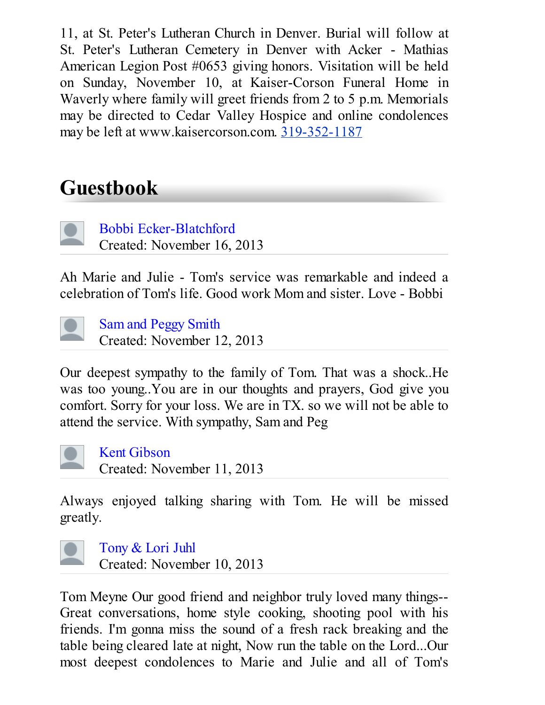11, at St. Peter's Lutheran Church in Denver. Burial will follow at St. Peter's Lutheran Cemetery in Denver with Acker - Mathias American Legion Post #0653 giving honors. Visitation will be held on Sunday, November 10, at Kaiser-Corson Funeral Home in Waverly where family will greet friends from 2 to 5 p.m. Memorials may be directed to Cedar Valley Hospice and online condolences may be left at www.kaisercorson.com. 319-352-1187

# Guestbook

Bobbi [Ecker-Blatchford](http://disqus.com/guest/76a04ea1f3d93aed2c320ec91eb4497e/) Created: November 16, 2013

Ah Marie and Julie - Tom's service was remarkable and indeed a celebration of Tom's life. Good work Mom and sister. Love - Bobbi



Sam and [Peggy](http://disqus.com/guest/04d4d5603649b783f8c4ed85caf5b402/) Smith Created: November 12, 2013

Our deepest sympathy to the family of Tom. That was a shock..He was too young..You are in our thoughts and prayers, God give you comfort. Sorry for your loss. We are in TX. so we will not be able to attend the service. With sympathy, Sam and Peg



Kent [Gibson](http://disqus.com/guest/df0e01bd42fa5dfcbbae967afc4fb728/) Created: November 11, 2013

Always enjoyed talking sharing with Tom. He will be missed greatly.



[Tony](http://disqus.com/guest/1512a7728c2dafb775b1243c735978ee/) & Lori Juhl

Created: November 10, 2013

Tom Meyne Our good friend and neighbor truly loved many things-- Great conversations, home style cooking, shooting pool with his friends. I'm gonna miss the sound of a fresh rack breaking and the table being cleared late at night, Now run the table on the Lord...Our most deepest condolences to Marie and Julie and all of Tom's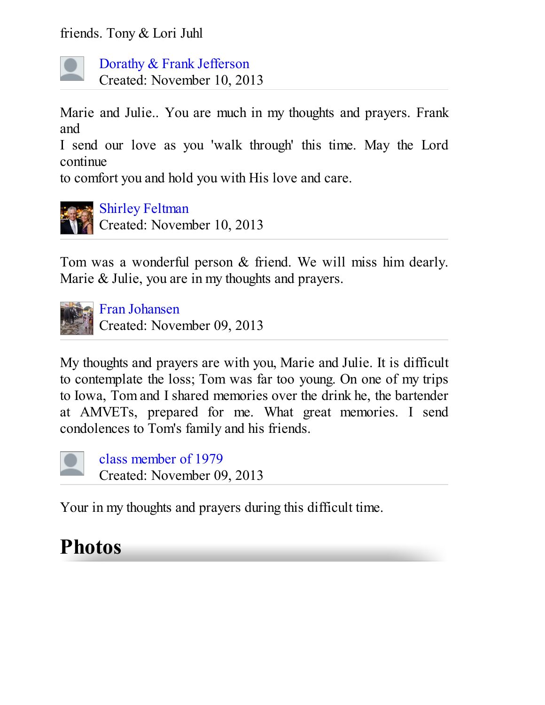friends. Tony & Lori Juhl



Dorathy & Frank [Jefferson](http://disqus.com/guest/3ea967e0ecdc6ef7875816cf02875e11/) Created: November 10, 2013

Marie and Julie.. You are much in my thoughts and prayers. Frank and

I send our love as you 'walk through' this time. May the Lord continue

to comfort you and hold you with His love and care.



#### Shirley [Feltman](http://disqus.com/shirleyfeltman/)

Created: November 10, 2013

Tom was a wonderful person & friend. We will miss him dearly. Marie & Julie, you are in my thoughts and prayers.



Fran [Johansen](http://disqus.com/franjohansen/) Created: November 09, 2013

My thoughts and prayers are with you, Marie and Julie. It is difficult to contemplate the loss; Tom was far too young. On one of my trips to Iowa, Tom and I shared memories over the drink he, the bartender at AMVETs, prepared for me. What great memories. I send condolences to Tom's family and his friends.



class [member](http://disqus.com/guest/75416d653e38088d02c89599ccf9bbdd/) of 1979 Created: November 09, 2013

Your in my thoughts and prayers during this difficult time.

# Photos